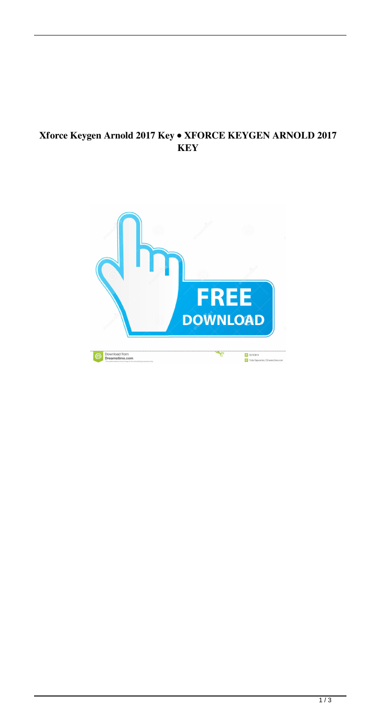## Xforce Keygen Arnold 2017 Key . XFORCE KEYGEN ARNOLD 2017 **KEY**

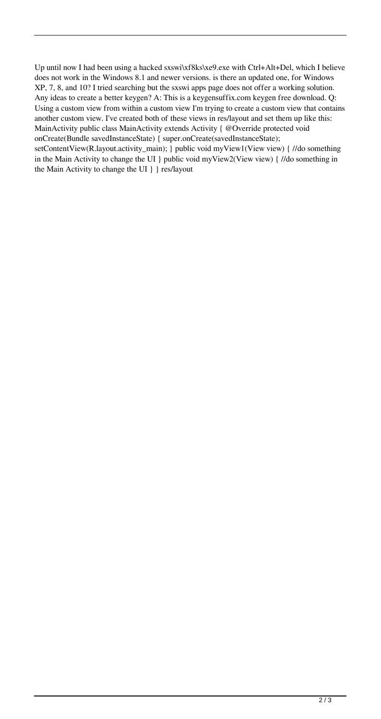Up until now I had been using a hacked sxswi\xf8ks\xe9.exe with Ctrl+Alt+Del, which I believe does not work in the Windows 8.1 and newer versions. is there an updated one, for Windows XP, 7, 8, and 10? I tried searching but the sxswi apps page does not offer a working solution. Any ideas to create a better keygen? A: This is a keygensuffix.com keygen free download. Q: Using a custom view from within a custom view I'm trying to create a custom view that contains another custom view. I've created both of these views in res/layout and set them up like this: MainActivity public class MainActivity extends Activity { @Override protected void onCreate(Bundle savedInstanceState) { super.onCreate(savedInstanceState);

setContentView(R.layout.activity\_main); } public void myView1(View view) { //do something in the Main Activity to change the UI } public void myView2(View view) { //do something in the Main Activity to change the UI } } res/layout